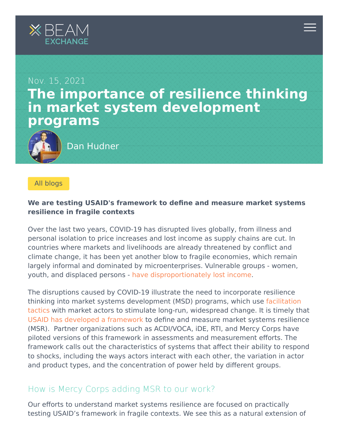



### [All blogs](https://beamexchange.org/community/blogs/)

#### **We are testing USAID's framework to define and measure market systems resilience in fragile contexts**

Over the last two years, COVID-19 has disrupted lives globally, from illness and personal isolation to price increases and lost income as supply chains are cut. In countries where markets and livelihoods are already threatened by conflict and climate change, it has been yet another blow to fragile economies, which remain largely informal and dominated by microenterprises. Vulnerable groups - women, youth, and displaced persons - [have disproportionately lost income.](https://www.mercycorps.org/research-resources/covid-19-impact-report)

The disruptions caused by COVID-19 illustrate the need to incorporate resilience thinking into market systems development (MSD) programs, which use facilitation [tactics with market actors to stimulate long-run, widespread change. It is timely th](https://beamexchange.org/market-systems/)at [USAID has developed a framework](https://www.usaid.gov/documents/1866/market-systems-resilience-framework-measurement) to define and measure market systems resilience (MSR). Partner organizations such as ACDI/VOCA, iDE, RTI, and Mercy Corps have piloted versions of this framework in assessments and measurement efforts. The framework calls out the characteristics of systems that affect their ability to respond to shocks, including the ways actors interact with each other, the variation in actor and product types, and the concentration of power held by different groups.

## How is Mercy Corps adding MSR to our work?

Our efforts to understand market systems resilience are focused on practically testing USAID's framework in fragile contexts. We see this as a natural extension of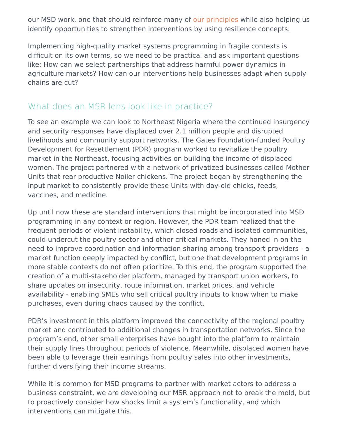our MSD work, one that should reinforce many of [our principles](https://www.mercycorps.org/research-resources/beyond-cash-markets-crisis#:~:text=Cash%20transfers%20can%20enable%20households,resources%20themselves%20through%20local%20systems.) while also helping us identify opportunities to strengthen interventions by using resilience concepts.

Implementing high-quality market systems programming in fragile contexts is difficult on its own terms, so we need to be practical and ask important questions like: How can we select partnerships that address harmful power dynamics in agriculture markets? How can our interventions help businesses adapt when supply chains are cut?

# What does an MSR lens look like in practice?

To see an example we can look to Northeast Nigeria where the continued insurgency and security responses have displaced over 2.1 million people and disrupted livelihoods and community support networks. The Gates Foundation-funded Poultry Development for Resettlement (PDR) program worked to revitalize the poultry market in the Northeast, focusing activities on building the income of displaced women. The project partnered with a network of privatized businesses called Mother Units that rear productive Noiler chickens. The project began by strengthening the input market to consistently provide these Units with day-old chicks, feeds, vaccines, and medicine.

Up until now these are standard interventions that might be incorporated into MSD programming in any context or region. However, the PDR team realized that the frequent periods of violent instability, which closed roads and isolated communities, could undercut the poultry sector and other critical markets. They honed in on the need to improve coordination and information sharing among transport providers - a market function deeply impacted by conflict, but one that development programs in more stable contexts do not often prioritize. To this end, the program supported the creation of a multi-stakeholder platform, managed by transport union workers, to share updates on insecurity, route information, market prices, and vehicle availability - enabling SMEs who sell critical poultry inputs to know when to make purchases, even during chaos caused by the conflict.

PDR's investment in this platform improved the connectivity of the regional poultry market and contributed to additional changes in transportation networks. Since the program's end, other small enterprises have bought into the platform to maintain their supply lines throughout periods of violence. Meanwhile, displaced women have been able to leverage their earnings from poultry sales into other investments, further diversifying their income streams.

While it is common for MSD programs to partner with market actors to address a business constraint, we are developing our MSR approach not to break the mold, but to proactively consider how shocks limit a system's functionality, and which interventions can mitigate this.